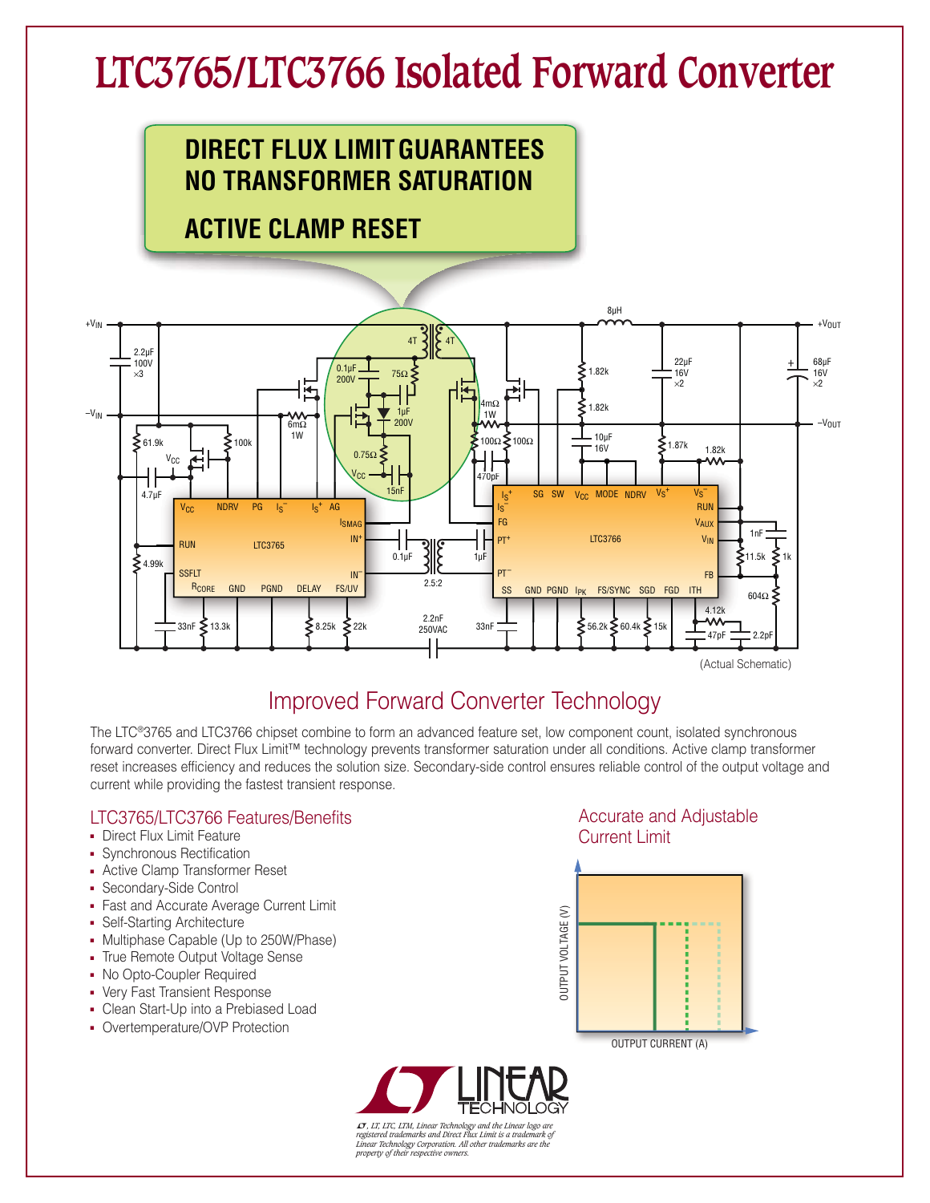# **LTC3765/LTC3766 Isolated Forward Converter**



## **ACTIVE CLAMP RESET**



## Improved Forward Converter Technology

The LTC®3765 and LTC3766 chipset combine to form an advanced feature set, low component count, isolated synchronous forward converter. Direct Flux Limit™ technology prevents transformer saturation under all conditions. Active clamp transformer reset increases efficiency and reduces the solution size. Secondary-side control ensures reliable control of the output voltage and current while providing the fastest transient response.

#### LTC3765/LTC3766 Features/Benefits

- Direct Flux Limit Feature
- Synchronous Rectification
- **Active Clamp Transformer Reset**
- **Secondary-Side Control**
- **Fast and Accurate Average Current Limit**
- Self-Starting Architecture
- Multiphase Capable (Up to 250W/Phase)
- True Remote Output Voltage Sense
- No Opto-Coupler Required
- Very Fast Transient Response
- Clean Start-Up into a Prebiased Load
- Overtemperature/OVP Protection

#### Accurate and Adjustable Current Limit





L*, LT, LTC, LTM, Linear Technology and the Linear logo are registered trademarks and Direct Flux Limit is a trademark of Linear Technology Corporation. All other trademarks are the property of their respective owners.*